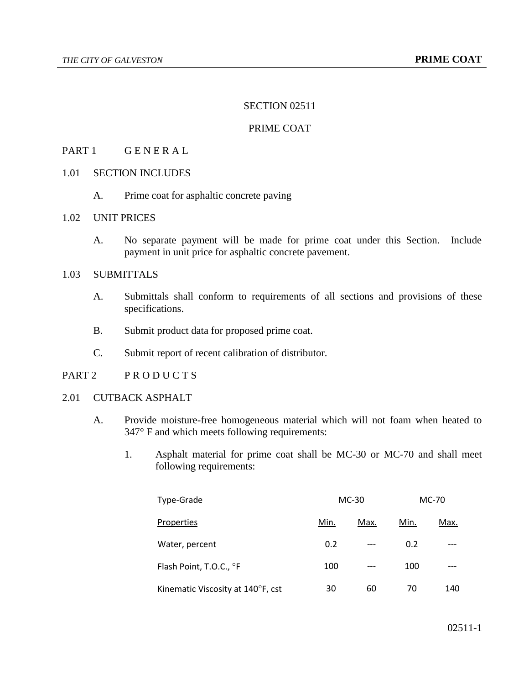#### SECTION 02511

# PRIME COAT

# PART 1 GENERAL

# 1.01 SECTION INCLUDES

A. Prime coat for asphaltic concrete paving

## 1.02 UNIT PRICES

A. No separate payment will be made for prime coat under this Section. Include payment in unit price for asphaltic concrete pavement.

# 1.03 SUBMITTALS

- A. Submittals shall conform to requirements of all sections and provisions of these specifications.
- B. Submit product data for proposed prime coat.
- C. Submit report of recent calibration of distributor.
- PART 2 PRODUCTS
- 2.01 CUTBACK ASPHALT
	- A. Provide moisture-free homogeneous material which will not foam when heated to 347° F and which meets following requirements:
		- 1. Asphalt material for prime coat shall be MC-30 or MC-70 and shall meet following requirements:

| Type-Grade                        | $MC-30$ |      | MC-70 |      |
|-----------------------------------|---------|------|-------|------|
| Properties                        | Min.    | Max. | Min.  | Max. |
| Water, percent                    | 0.2     | ---  | 0.2   |      |
| Flash Point, T.O.C., °F           | 100     | ---  | 100   |      |
| Kinematic Viscosity at 140°F, cst | 30      | 60   | 70    | 140  |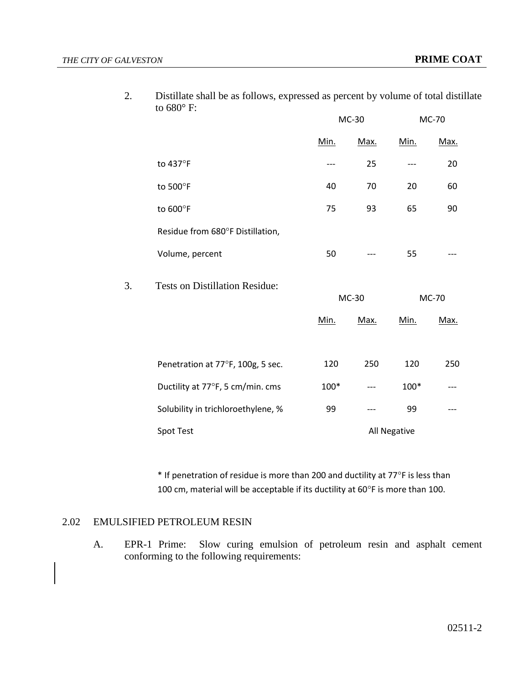|    | 1.1                                   | MC-30        |      | MC-70 |      |
|----|---------------------------------------|--------------|------|-------|------|
|    |                                       | Min.         | Max. | Min.  | Max. |
|    | to 437°F                              | ---          | 25   | ---   | 20   |
|    | to 500°F                              | 40           | 70   | 20    | 60   |
|    | to $600^\circ$ F                      | 75           | 93   | 65    | 90   |
|    | Residue from 680°F Distillation,      |              |      |       |      |
|    | Volume, percent                       | 50           |      | 55    |      |
| 3. | <b>Tests on Distillation Residue:</b> | MC-30        |      | MC-70 |      |
|    |                                       | Min.         | Max. | Min.  | Max. |
|    |                                       |              |      |       |      |
|    | Penetration at 77°F, 100g, 5 sec.     | 120          | 250  | 120   | 250  |
|    | Ductility at 77°F, 5 cm/min. cms      | 100*         |      | 100*  |      |
|    | Solubility in trichloroethylene, %    | 99           | ---  | 99    |      |
|    | Spot Test                             | All Negative |      |       |      |

2. Distillate shall be as follows, expressed as percent by volume of total distillate to 680° F:

\* If penetration of residue is more than 200 and ductility at 77°F is less than 100 cm, material will be acceptable if its ductility at  $60^{\circ}$ F is more than 100.

# 2.02 EMULSIFIED PETROLEUM RESIN

A. EPR-1 Prime: Slow curing emulsion of petroleum resin and asphalt cement conforming to the following requirements: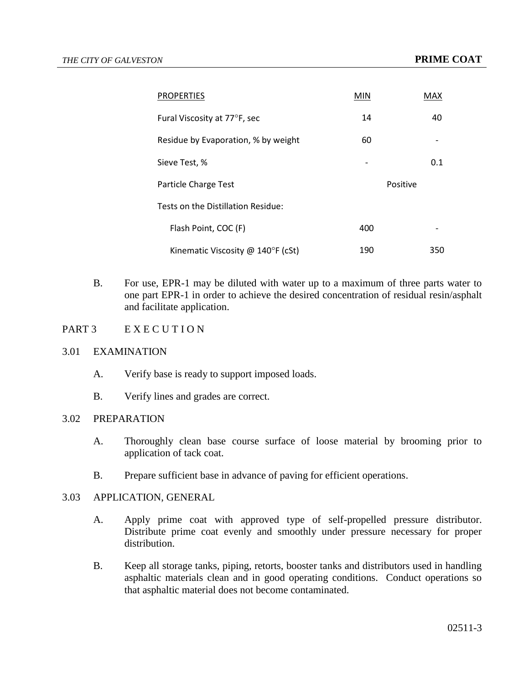| <b>PROPERTIES</b>                          | <b>MIN</b> | MAX      |  |  |
|--------------------------------------------|------------|----------|--|--|
| Fural Viscosity at 77°F, sec               | 14         | 40       |  |  |
| Residue by Evaporation, % by weight        | 60         |          |  |  |
| Sieve Test, %                              |            | 0.1      |  |  |
| Particle Charge Test                       |            | Positive |  |  |
| Tests on the Distillation Residue:         |            |          |  |  |
| Flash Point, COC (F)                       | 400        |          |  |  |
| Kinematic Viscosity @ $140^{\circ}F$ (cSt) | 190        | 350      |  |  |

- B. For use, EPR-1 may be diluted with water up to a maximum of three parts water to one part EPR-1 in order to achieve the desired concentration of residual resin/asphalt and facilitate application.
- PART 3 EXECUTION

#### 3.01 EXAMINATION

- A. Verify base is ready to support imposed loads.
- B. Verify lines and grades are correct.

# 3.02 PREPARATION

- A. Thoroughly clean base course surface of loose material by brooming prior to application of tack coat.
- B. Prepare sufficient base in advance of paving for efficient operations.

# 3.03 APPLICATION, GENERAL

- A. Apply prime coat with approved type of self-propelled pressure distributor. Distribute prime coat evenly and smoothly under pressure necessary for proper distribution.
- B. Keep all storage tanks, piping, retorts, booster tanks and distributors used in handling asphaltic materials clean and in good operating conditions. Conduct operations so that asphaltic material does not become contaminated.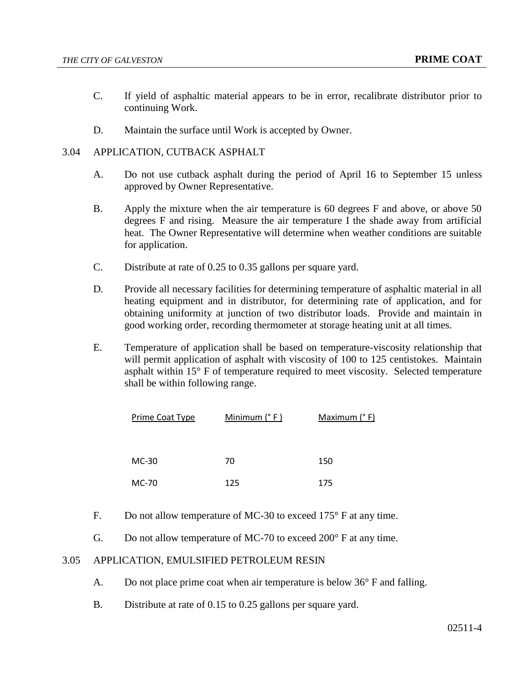- C. If yield of asphaltic material appears to be in error, recalibrate distributor prior to continuing Work.
- D. Maintain the surface until Work is accepted by Owner.

# 3.04 APPLICATION, CUTBACK ASPHALT

- A. Do not use cutback asphalt during the period of April 16 to September 15 unless approved by Owner Representative.
- B. Apply the mixture when the air temperature is 60 degrees F and above, or above 50 degrees F and rising. Measure the air temperature I the shade away from artificial heat. The Owner Representative will determine when weather conditions are suitable for application.
- C. Distribute at rate of 0.25 to 0.35 gallons per square yard.
- D. Provide all necessary facilities for determining temperature of asphaltic material in all heating equipment and in distributor, for determining rate of application, and for obtaining uniformity at junction of two distributor loads. Provide and maintain in good working order, recording thermometer at storage heating unit at all times.
- E. Temperature of application shall be based on temperature-viscosity relationship that will permit application of asphalt with viscosity of 100 to 125 centistokes. Maintain asphalt within 15° F of temperature required to meet viscosity. Selected temperature shall be within following range.

| Prime Coat Type | Minimum $(° F)$ | Maximum (° F) |
|-----------------|-----------------|---------------|
|                 |                 |               |
|                 |                 |               |
| $MC-30$         | 70              | 150           |
| MC-70           | 125             | 175           |
|                 |                 |               |

- F. Do not allow temperature of MC-30 to exceed 175° F at any time.
- G. Do not allow temperature of MC-70 to exceed 200° F at any time.

#### 3.05 APPLICATION, EMULSIFIED PETROLEUM RESIN

- A. Do not place prime coat when air temperature is below 36° F and falling.
- B. Distribute at rate of 0.15 to 0.25 gallons per square yard.